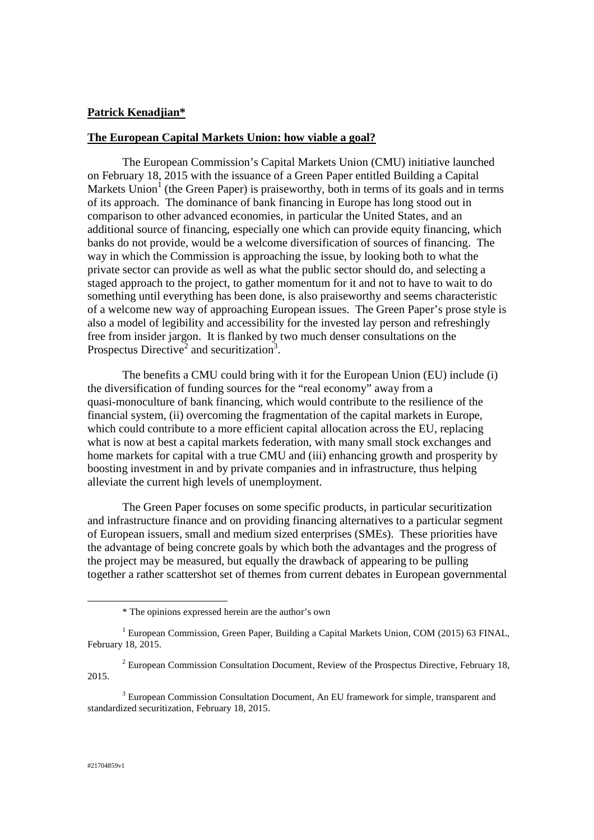## **Patrick Kenadjian\***

## **The European Capital Markets Union: how viable a goal?**

The European Commission's Capital Markets Union (CMU) initiative launched on February 18, 2015 with the issuance of a Green Paper entitled Building a Capital Markets Union<sup>1</sup> (the Green Paper) is praiseworthy, both in terms of its goals and in terms of its approach. The dominance of bank financing in Europe has long stood out in comparison to other advanced economies, in particular the United States, and an additional source of financing, especially one which can provide equity financing, which banks do not provide, would be a welcome diversification of sources of financing. The way in which the Commission is approaching the issue, by looking both to what the private sector can provide as well as what the public sector should do, and selecting a staged approach to the project, to gather momentum for it and not to have to wait to do something until everything has been done, is also praiseworthy and seems characteristic of a welcome new way of approaching European issues. The Green Paper's prose style is also a model of legibility and accessibility for the invested lay person and refreshingly free from insider jargon. It is flanked by two much denser consultations on the Prospectus Directive<sup>2</sup> and securitization<sup>3</sup>.

The benefits a CMU could bring with it for the European Union (EU) include (i) the diversification of funding sources for the "real economy" away from a quasi-monoculture of bank financing, which would contribute to the resilience of the financial system, (ii) overcoming the fragmentation of the capital markets in Europe, which could contribute to a more efficient capital allocation across the EU, replacing what is now at best a capital markets federation, with many small stock exchanges and home markets for capital with a true CMU and (iii) enhancing growth and prosperity by boosting investment in and by private companies and in infrastructure, thus helping alleviate the current high levels of unemployment.

The Green Paper focuses on some specific products, in particular securitization and infrastructure finance and on providing financing alternatives to a particular segment of European issuers, small and medium sized enterprises (SMEs). These priorities have the advantage of being concrete goals by which both the advantages and the progress of the project may be measured, but equally the drawback of appearing to be pulling together a rather scattershot set of themes from current debates in European governmental

<u>.</u>

<sup>\*</sup> The opinions expressed herein are the author's own

<sup>&</sup>lt;sup>1</sup> European Commission, Green Paper, Building a Capital Markets Union, COM (2015) 63 FINAL, February 18, 2015.

 $2$  European Commission Consultation Document, Review of the Prospectus Directive, February 18, 2015.

<sup>&</sup>lt;sup>3</sup> European Commission Consultation Document, An EU framework for simple, transparent and standardized securitization, February 18, 2015.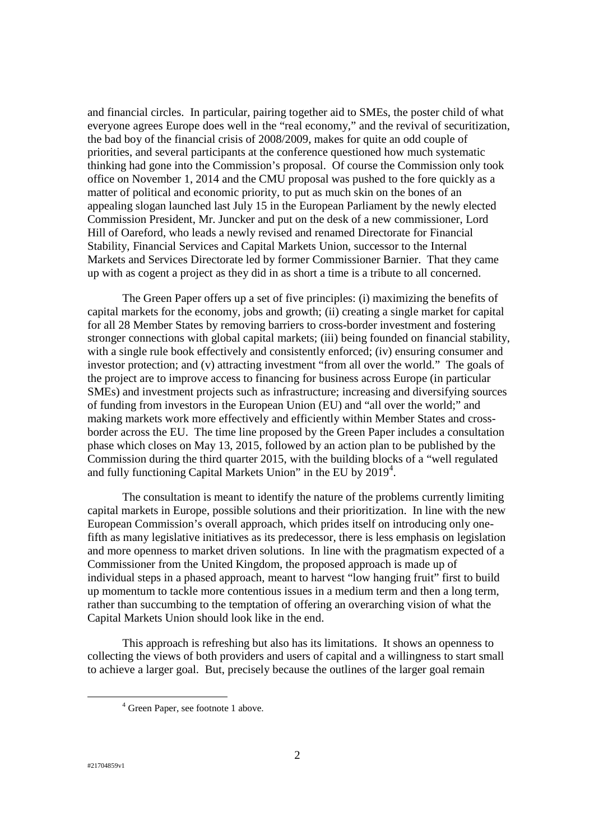and financial circles. In particular, pairing together aid to SMEs, the poster child of what everyone agrees Europe does well in the "real economy," and the revival of securitization, the bad boy of the financial crisis of 2008/2009, makes for quite an odd couple of priorities, and several participants at the conference questioned how much systematic thinking had gone into the Commission's proposal. Of course the Commission only took office on November 1, 2014 and the CMU proposal was pushed to the fore quickly as a matter of political and economic priority, to put as much skin on the bones of an appealing slogan launched last July 15 in the European Parliament by the newly elected Commission President, Mr. Juncker and put on the desk of a new commissioner, Lord Hill of Oareford, who leads a newly revised and renamed Directorate for Financial Stability, Financial Services and Capital Markets Union, successor to the Internal Markets and Services Directorate led by former Commissioner Barnier. That they came up with as cogent a project as they did in as short a time is a tribute to all concerned.

The Green Paper offers up a set of five principles: (i) maximizing the benefits of capital markets for the economy, jobs and growth; (ii) creating a single market for capital for all 28 Member States by removing barriers to cross-border investment and fostering stronger connections with global capital markets; (iii) being founded on financial stability, with a single rule book effectively and consistently enforced; (iv) ensuring consumer and investor protection; and (v) attracting investment "from all over the world." The goals of the project are to improve access to financing for business across Europe (in particular SMEs) and investment projects such as infrastructure; increasing and diversifying sources of funding from investors in the European Union (EU) and "all over the world;" and making markets work more effectively and efficiently within Member States and crossborder across the EU. The time line proposed by the Green Paper includes a consultation phase which closes on May 13, 2015, followed by an action plan to be published by the Commission during the third quarter 2015, with the building blocks of a "well regulated and fully functioning Capital Markets Union" in the EU by 2019<sup>4</sup>.

The consultation is meant to identify the nature of the problems currently limiting capital markets in Europe, possible solutions and their prioritization. In line with the new European Commission's overall approach, which prides itself on introducing only onefifth as many legislative initiatives as its predecessor, there is less emphasis on legislation and more openness to market driven solutions. In line with the pragmatism expected of a Commissioner from the United Kingdom, the proposed approach is made up of individual steps in a phased approach, meant to harvest "low hanging fruit" first to build up momentum to tackle more contentious issues in a medium term and then a long term, rather than succumbing to the temptation of offering an overarching vision of what the Capital Markets Union should look like in the end.

This approach is refreshing but also has its limitations. It shows an openness to collecting the views of both providers and users of capital and a willingness to start small to achieve a larger goal. But, precisely because the outlines of the larger goal remain

<sup>&</sup>lt;sup>4</sup> Green Paper, see footnote 1 above.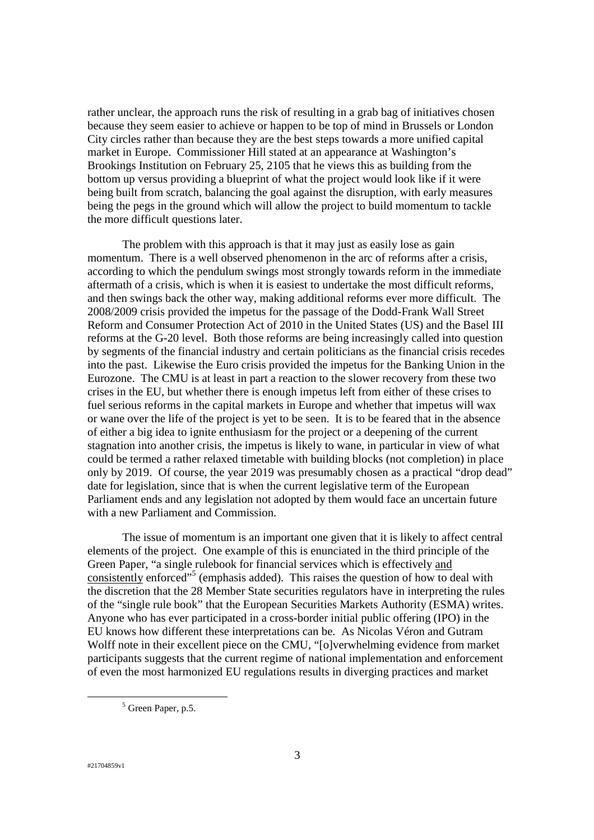rather unclear, the approach runs the risk of resulting in a grab bag of initiatives chosen because they seem easier to achieve or happen to be top of mind in Brussels or London City circles rather than because they are the best steps towards a more unified capital market in Europe. Commissioner Hill stated at an appearance at Washington's Brookings Institution on February 25, 2105 that he views this as building from the bottom up versus providing a blueprint of what the project would look like if it were being built from scratch, balancing the goal against the disruption, with early measures being the pegs in the ground which will allow the project to build momentum to tackle the more difficult questions later.

The problem with this approach is that it may just as easily lose as gain momentum. There is a well observed phenomenon in the arc of reforms after a crisis, according to which the pendulum swings most strongly towards reform in the immediate aftermath of a crisis, which is when it is easiest to undertake the most difficult reforms, and then swings back the other way, making additional reforms ever more difficult. The 2008/2009 crisis provided the impetus for the passage of the Dodd-Frank Wall Street Reform and Consumer Protection Act of 2010 in the United States (US) and the Basel III reforms at the G-20 level. Both those reforms are being increasingly called into question by segments of the financial industry and certain politicians as the financial crisis recedes into the past. Likewise the Euro crisis provided the impetus for the Banking Union in the Eurozone. The CMU is at least in part a reaction to the slower recovery from these two crises in the EU, but whether there is enough impetus left from either of these crises to fuel serious reforms in the capital markets in Europe and whether that impetus will wax or wane over the life of the project is yet to be seen. It is to be feared that in the absence of either a big idea to ignite enthusiasm for the project or a deepening of the current stagnation into another crisis, the impetus is likely to wane, in particular in view of what could be termed a rather relaxed timetable with building blocks (not completion) in place only by 2019. Of course, the year 2019 was presumably chosen as a practical "drop dead" date for legislation, since that is when the current legislative term of the European Parliament ends and any legislation not adopted by them would face an uncertain future with a new Parliament and Commission.

The issue of momentum is an important one given that it is likely to affect central elements of the project. One example of this is enunciated in the third principle of the Green Paper, "a single rulebook for financial services which is effectively and consistently enforced"<sup>5</sup> (emphasis added). This raises the question of how to deal with the discretion that the 28 Member State securities regulators have in interpreting the rules of the "single rule book" that the European Securities Markets Authority (ESMA) writes. Anyone who has ever participated in a cross-border initial public offering (IPO) in the EU knows how different these interpretations can be. As Nicolas Véron and Gutram Wolff note in their excellent piece on the CMU, "[o]verwhelming evidence from market participants suggests that the current regime of national implementation and enforcement of even the most harmonized EU regulations results in diverging practices and market

<sup>&</sup>lt;sup>5</sup> Green Paper, p.5.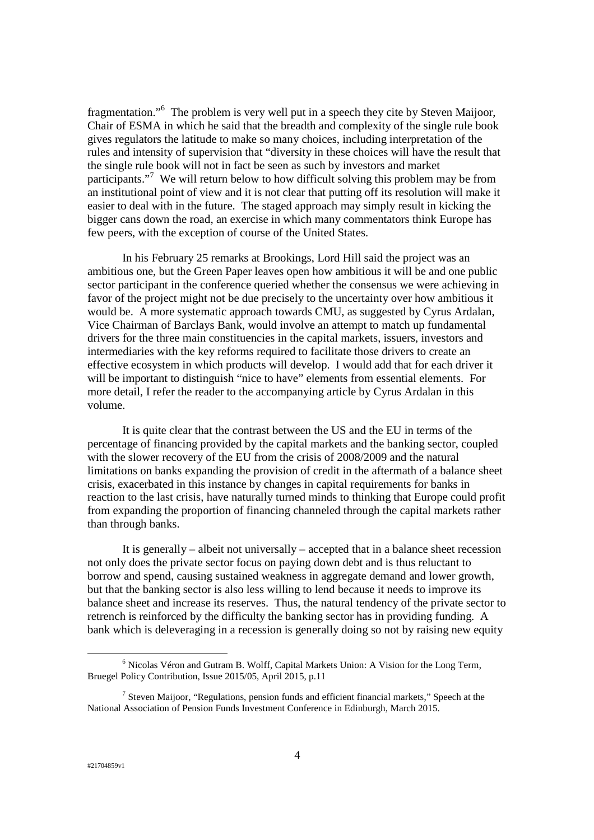fragmentation."<sup>6</sup> The problem is very well put in a speech they cite by Steven Maijoor, Chair of ESMA in which he said that the breadth and complexity of the single rule book gives regulators the latitude to make so many choices, including interpretation of the rules and intensity of supervision that "diversity in these choices will have the result that the single rule book will not in fact be seen as such by investors and market participants."<sup>7</sup> We will return below to how difficult solving this problem may be from an institutional point of view and it is not clear that putting off its resolution will make it easier to deal with in the future. The staged approach may simply result in kicking the bigger cans down the road, an exercise in which many commentators think Europe has few peers, with the exception of course of the United States.

In his February 25 remarks at Brookings, Lord Hill said the project was an ambitious one, but the Green Paper leaves open how ambitious it will be and one public sector participant in the conference queried whether the consensus we were achieving in favor of the project might not be due precisely to the uncertainty over how ambitious it would be. A more systematic approach towards CMU, as suggested by Cyrus Ardalan, Vice Chairman of Barclays Bank, would involve an attempt to match up fundamental drivers for the three main constituencies in the capital markets, issuers, investors and intermediaries with the key reforms required to facilitate those drivers to create an effective ecosystem in which products will develop. I would add that for each driver it will be important to distinguish "nice to have" elements from essential elements. For more detail, I refer the reader to the accompanying article by Cyrus Ardalan in this volume.

It is quite clear that the contrast between the US and the EU in terms of the percentage of financing provided by the capital markets and the banking sector, coupled with the slower recovery of the EU from the crisis of 2008/2009 and the natural limitations on banks expanding the provision of credit in the aftermath of a balance sheet crisis, exacerbated in this instance by changes in capital requirements for banks in reaction to the last crisis, have naturally turned minds to thinking that Europe could profit from expanding the proportion of financing channeled through the capital markets rather than through banks.

It is generally – albeit not universally – accepted that in a balance sheet recession not only does the private sector focus on paying down debt and is thus reluctant to borrow and spend, causing sustained weakness in aggregate demand and lower growth, but that the banking sector is also less willing to lend because it needs to improve its balance sheet and increase its reserves. Thus, the natural tendency of the private sector to retrench is reinforced by the difficulty the banking sector has in providing funding. A bank which is deleveraging in a recession is generally doing so not by raising new equity

<sup>&</sup>lt;sup>6</sup> Nicolas Véron and Gutram B. Wolff, Capital Markets Union: A Vision for the Long Term, Bruegel Policy Contribution, Issue 2015/05, April 2015, p.11

<sup>&</sup>lt;sup>7</sup> Steven Maijoor, "Regulations, pension funds and efficient financial markets," Speech at the National Association of Pension Funds Investment Conference in Edinburgh, March 2015.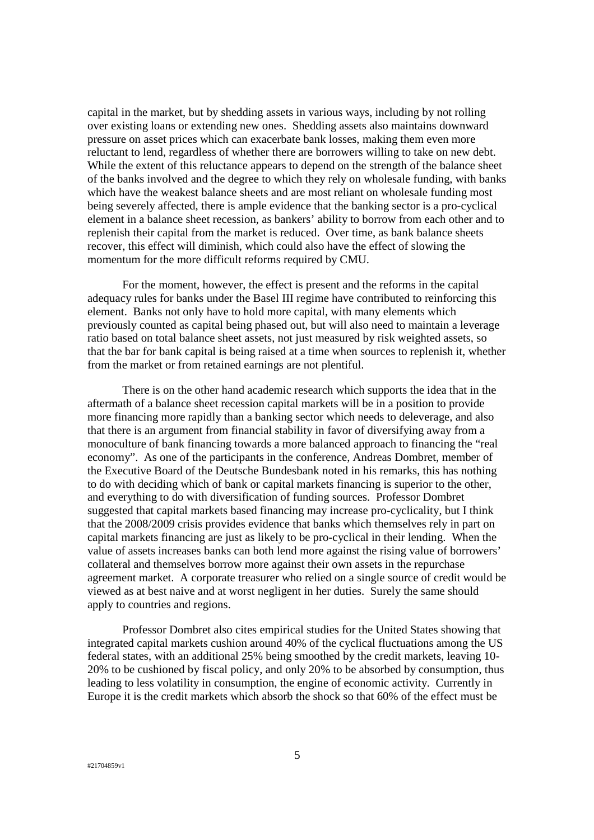capital in the market, but by shedding assets in various ways, including by not rolling over existing loans or extending new ones. Shedding assets also maintains downward pressure on asset prices which can exacerbate bank losses, making them even more reluctant to lend, regardless of whether there are borrowers willing to take on new debt. While the extent of this reluctance appears to depend on the strength of the balance sheet of the banks involved and the degree to which they rely on wholesale funding, with banks which have the weakest balance sheets and are most reliant on wholesale funding most being severely affected, there is ample evidence that the banking sector is a pro-cyclical element in a balance sheet recession, as bankers' ability to borrow from each other and to replenish their capital from the market is reduced. Over time, as bank balance sheets recover, this effect will diminish, which could also have the effect of slowing the momentum for the more difficult reforms required by CMU.

For the moment, however, the effect is present and the reforms in the capital adequacy rules for banks under the Basel III regime have contributed to reinforcing this element. Banks not only have to hold more capital, with many elements which previously counted as capital being phased out, but will also need to maintain a leverage ratio based on total balance sheet assets, not just measured by risk weighted assets, so that the bar for bank capital is being raised at a time when sources to replenish it, whether from the market or from retained earnings are not plentiful.

There is on the other hand academic research which supports the idea that in the aftermath of a balance sheet recession capital markets will be in a position to provide more financing more rapidly than a banking sector which needs to deleverage, and also that there is an argument from financial stability in favor of diversifying away from a monoculture of bank financing towards a more balanced approach to financing the "real economy". As one of the participants in the conference, Andreas Dombret, member of the Executive Board of the Deutsche Bundesbank noted in his remarks, this has nothing to do with deciding which of bank or capital markets financing is superior to the other, and everything to do with diversification of funding sources. Professor Dombret suggested that capital markets based financing may increase pro-cyclicality, but I think that the 2008/2009 crisis provides evidence that banks which themselves rely in part on capital markets financing are just as likely to be pro-cyclical in their lending. When the value of assets increases banks can both lend more against the rising value of borrowers' collateral and themselves borrow more against their own assets in the repurchase agreement market. A corporate treasurer who relied on a single source of credit would be viewed as at best naive and at worst negligent in her duties. Surely the same should apply to countries and regions.

Professor Dombret also cites empirical studies for the United States showing that integrated capital markets cushion around 40% of the cyclical fluctuations among the US federal states, with an additional 25% being smoothed by the credit markets, leaving 10- 20% to be cushioned by fiscal policy, and only 20% to be absorbed by consumption, thus leading to less volatility in consumption, the engine of economic activity. Currently in Europe it is the credit markets which absorb the shock so that 60% of the effect must be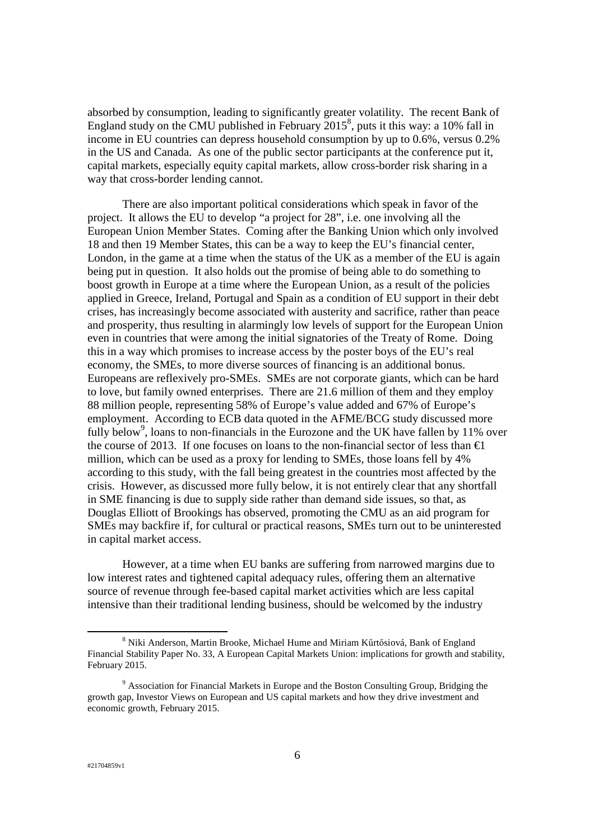absorbed by consumption, leading to significantly greater volatility. The recent Bank of England study on the CMU published in February  $2015^8$ , puts it this way: a 10% fall in income in EU countries can depress household consumption by up to 0.6%, versus 0.2% in the US and Canada. As one of the public sector participants at the conference put it, capital markets, especially equity capital markets, allow cross-border risk sharing in a way that cross-border lending cannot.

There are also important political considerations which speak in favor of the project. It allows the EU to develop "a project for 28", i.e. one involving all the European Union Member States. Coming after the Banking Union which only involved 18 and then 19 Member States, this can be a way to keep the EU's financial center, London, in the game at a time when the status of the UK as a member of the EU is again being put in question. It also holds out the promise of being able to do something to boost growth in Europe at a time where the European Union, as a result of the policies applied in Greece, Ireland, Portugal and Spain as a condition of EU support in their debt crises, has increasingly become associated with austerity and sacrifice, rather than peace and prosperity, thus resulting in alarmingly low levels of support for the European Union even in countries that were among the initial signatories of the Treaty of Rome. Doing this in a way which promises to increase access by the poster boys of the EU's real economy, the SMEs, to more diverse sources of financing is an additional bonus. Europeans are reflexively pro-SMEs. SMEs are not corporate giants, which can be hard to love, but family owned enterprises. There are 21.6 million of them and they employ 88 million people, representing 58% of Europe's value added and 67% of Europe's employment. According to ECB data quoted in the AFME/BCG study discussed more fully below<sup>9</sup>, loans to non-financials in the Eurozone and the UK have fallen by 11% over the course of 2013. If one focuses on loans to the non-financial sector of less than  $\epsilon$ 1 million, which can be used as a proxy for lending to SMEs, those loans fell by 4% according to this study, with the fall being greatest in the countries most affected by the crisis. However, as discussed more fully below, it is not entirely clear that any shortfall in SME financing is due to supply side rather than demand side issues, so that, as Douglas Elliott of Brookings has observed, promoting the CMU as an aid program for SMEs may backfire if, for cultural or practical reasons, SMEs turn out to be uninterested in capital market access.

However, at a time when EU banks are suffering from narrowed margins due to low interest rates and tightened capital adequacy rules, offering them an alternative source of revenue through fee-based capital market activities which are less capital intensive than their traditional lending business, should be welcomed by the industry

<u>.</u>

<sup>&</sup>lt;sup>8</sup> Niki Anderson, Martin Brooke, Michael Hume and Miriam Kűrtősiová, Bank of England Financial Stability Paper No. 33, A European Capital Markets Union: implications for growth and stability, February 2015.

<sup>&</sup>lt;sup>9</sup> Association for Financial Markets in Europe and the Boston Consulting Group, Bridging the growth gap, Investor Views on European and US capital markets and how they drive investment and economic growth, February 2015.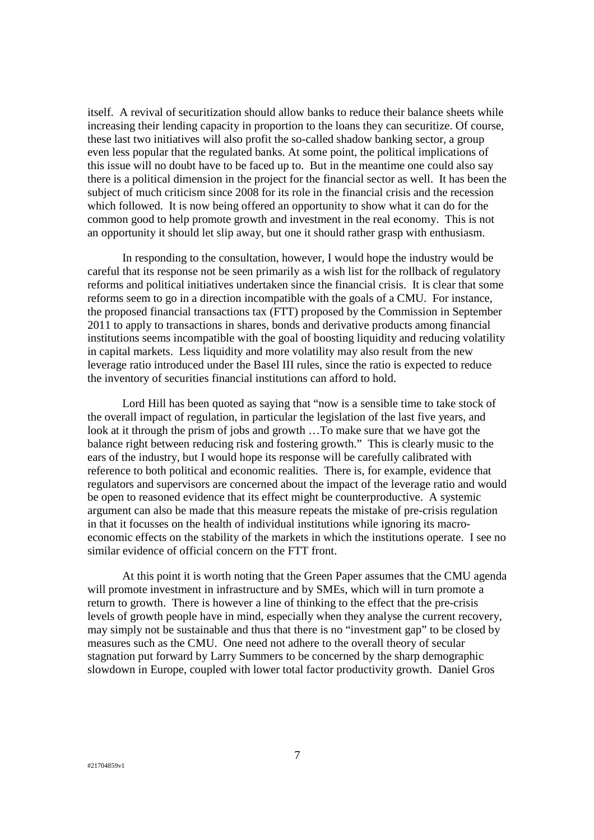itself. A revival of securitization should allow banks to reduce their balance sheets while increasing their lending capacity in proportion to the loans they can securitize. Of course, these last two initiatives will also profit the so-called shadow banking sector, a group even less popular that the regulated banks. At some point, the political implications of this issue will no doubt have to be faced up to. But in the meantime one could also say there is a political dimension in the project for the financial sector as well. It has been the subject of much criticism since 2008 for its role in the financial crisis and the recession which followed. It is now being offered an opportunity to show what it can do for the common good to help promote growth and investment in the real economy. This is not an opportunity it should let slip away, but one it should rather grasp with enthusiasm.

In responding to the consultation, however, I would hope the industry would be careful that its response not be seen primarily as a wish list for the rollback of regulatory reforms and political initiatives undertaken since the financial crisis. It is clear that some reforms seem to go in a direction incompatible with the goals of a CMU. For instance, the proposed financial transactions tax (FTT) proposed by the Commission in September 2011 to apply to transactions in shares, bonds and derivative products among financial institutions seems incompatible with the goal of boosting liquidity and reducing volatility in capital markets. Less liquidity and more volatility may also result from the new leverage ratio introduced under the Basel III rules, since the ratio is expected to reduce the inventory of securities financial institutions can afford to hold.

Lord Hill has been quoted as saying that "now is a sensible time to take stock of the overall impact of regulation, in particular the legislation of the last five years, and look at it through the prism of jobs and growth …To make sure that we have got the balance right between reducing risk and fostering growth." This is clearly music to the ears of the industry, but I would hope its response will be carefully calibrated with reference to both political and economic realities. There is, for example, evidence that regulators and supervisors are concerned about the impact of the leverage ratio and would be open to reasoned evidence that its effect might be counterproductive. A systemic argument can also be made that this measure repeats the mistake of pre-crisis regulation in that it focusses on the health of individual institutions while ignoring its macroeconomic effects on the stability of the markets in which the institutions operate. I see no similar evidence of official concern on the FTT front.

At this point it is worth noting that the Green Paper assumes that the CMU agenda will promote investment in infrastructure and by SMEs, which will in turn promote a return to growth. There is however a line of thinking to the effect that the pre-crisis levels of growth people have in mind, especially when they analyse the current recovery, may simply not be sustainable and thus that there is no "investment gap" to be closed by measures such as the CMU. One need not adhere to the overall theory of secular stagnation put forward by Larry Summers to be concerned by the sharp demographic slowdown in Europe, coupled with lower total factor productivity growth. Daniel Gros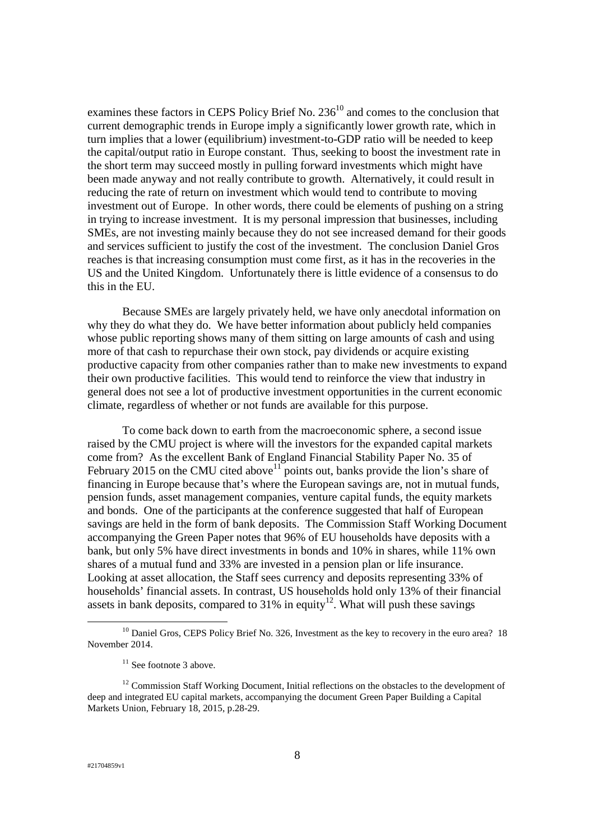examines these factors in CEPS Policy Brief No.  $236<sup>10</sup>$  and comes to the conclusion that current demographic trends in Europe imply a significantly lower growth rate, which in turn implies that a lower (equilibrium) investment-to-GDP ratio will be needed to keep the capital/output ratio in Europe constant. Thus, seeking to boost the investment rate in the short term may succeed mostly in pulling forward investments which might have been made anyway and not really contribute to growth. Alternatively, it could result in reducing the rate of return on investment which would tend to contribute to moving investment out of Europe. In other words, there could be elements of pushing on a string in trying to increase investment. It is my personal impression that businesses, including SMEs, are not investing mainly because they do not see increased demand for their goods and services sufficient to justify the cost of the investment. The conclusion Daniel Gros reaches is that increasing consumption must come first, as it has in the recoveries in the US and the United Kingdom. Unfortunately there is little evidence of a consensus to do this in the EU.

Because SMEs are largely privately held, we have only anecdotal information on why they do what they do. We have better information about publicly held companies whose public reporting shows many of them sitting on large amounts of cash and using more of that cash to repurchase their own stock, pay dividends or acquire existing productive capacity from other companies rather than to make new investments to expand their own productive facilities. This would tend to reinforce the view that industry in general does not see a lot of productive investment opportunities in the current economic climate, regardless of whether or not funds are available for this purpose.

To come back down to earth from the macroeconomic sphere, a second issue raised by the CMU project is where will the investors for the expanded capital markets come from? As the excellent Bank of England Financial Stability Paper No. 35 of February 2015 on the CMU cited above  $10^{11}$  points out, banks provide the lion's share of financing in Europe because that's where the European savings are, not in mutual funds, pension funds, asset management companies, venture capital funds, the equity markets and bonds. One of the participants at the conference suggested that half of European savings are held in the form of bank deposits. The Commission Staff Working Document accompanying the Green Paper notes that 96% of EU households have deposits with a bank, but only 5% have direct investments in bonds and 10% in shares, while 11% own shares of a mutual fund and 33% are invested in a pension plan or life insurance. Looking at asset allocation, the Staff sees currency and deposits representing 33% of households' financial assets. In contrast, US households hold only 13% of their financial assets in bank deposits, compared to  $31\%$  in equity<sup>12</sup>. What will push these savings

 $10$  Daniel Gros, CEPS Policy Brief No. 326, Investment as the key to recovery in the euro area? 18 November 2014.

 $11$  See footnote 3 above.

<sup>&</sup>lt;sup>12</sup> Commission Staff Working Document, Initial reflections on the obstacles to the development of deep and integrated EU capital markets, accompanying the document Green Paper Building a Capital Markets Union, February 18, 2015, p.28-29.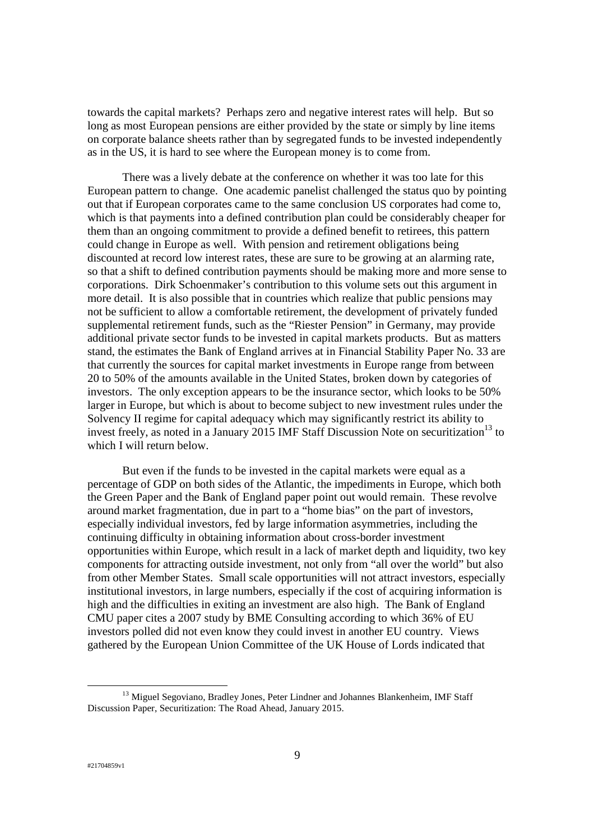towards the capital markets? Perhaps zero and negative interest rates will help. But so long as most European pensions are either provided by the state or simply by line items on corporate balance sheets rather than by segregated funds to be invested independently as in the US, it is hard to see where the European money is to come from.

There was a lively debate at the conference on whether it was too late for this European pattern to change. One academic panelist challenged the status quo by pointing out that if European corporates came to the same conclusion US corporates had come to, which is that payments into a defined contribution plan could be considerably cheaper for them than an ongoing commitment to provide a defined benefit to retirees, this pattern could change in Europe as well. With pension and retirement obligations being discounted at record low interest rates, these are sure to be growing at an alarming rate, so that a shift to defined contribution payments should be making more and more sense to corporations. Dirk Schoenmaker's contribution to this volume sets out this argument in more detail. It is also possible that in countries which realize that public pensions may not be sufficient to allow a comfortable retirement, the development of privately funded supplemental retirement funds, such as the "Riester Pension" in Germany, may provide additional private sector funds to be invested in capital markets products. But as matters stand, the estimates the Bank of England arrives at in Financial Stability Paper No. 33 are that currently the sources for capital market investments in Europe range from between 20 to 50% of the amounts available in the United States, broken down by categories of investors. The only exception appears to be the insurance sector, which looks to be 50% larger in Europe, but which is about to become subject to new investment rules under the Solvency II regime for capital adequacy which may significantly restrict its ability to invest freely, as noted in a January 2015 IMF Staff Discussion Note on securitization<sup>13</sup> to which I will return below.

But even if the funds to be invested in the capital markets were equal as a percentage of GDP on both sides of the Atlantic, the impediments in Europe, which both the Green Paper and the Bank of England paper point out would remain. These revolve around market fragmentation, due in part to a "home bias" on the part of investors, especially individual investors, fed by large information asymmetries, including the continuing difficulty in obtaining information about cross-border investment opportunities within Europe, which result in a lack of market depth and liquidity, two key components for attracting outside investment, not only from "all over the world" but also from other Member States. Small scale opportunities will not attract investors, especially institutional investors, in large numbers, especially if the cost of acquiring information is high and the difficulties in exiting an investment are also high. The Bank of England CMU paper cites a 2007 study by BME Consulting according to which 36% of EU investors polled did not even know they could invest in another EU country. Views gathered by the European Union Committee of the UK House of Lords indicated that

<sup>&</sup>lt;sup>13</sup> Miguel Segoviano, Bradley Jones, Peter Lindner and Johannes Blankenheim, IMF Staff Discussion Paper, Securitization: The Road Ahead, January 2015.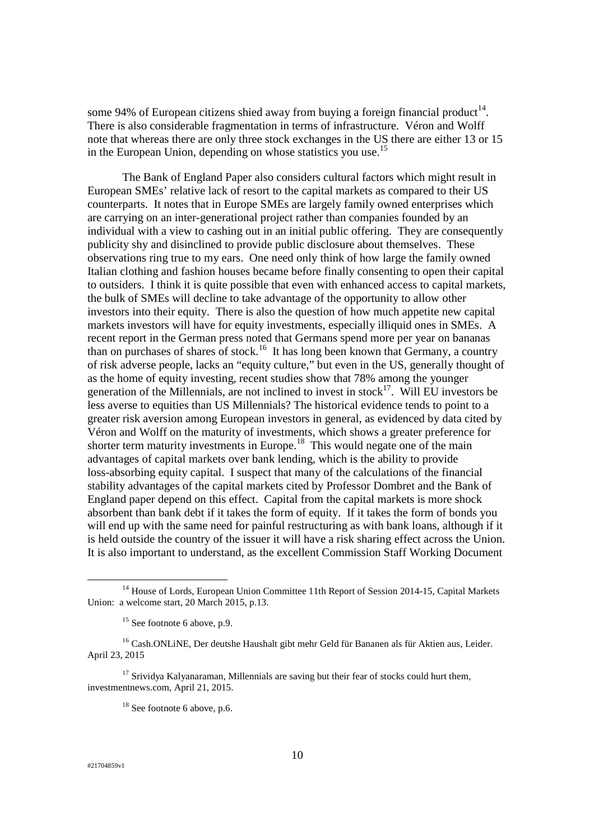some 94% of European citizens shied away from buying a foreign financial product<sup>14</sup>. There is also considerable fragmentation in terms of infrastructure. Véron and Wolff note that whereas there are only three stock exchanges in the US there are either 13 or 15 in the European Union, depending on whose statistics you use.<sup>15</sup>

The Bank of England Paper also considers cultural factors which might result in European SMEs' relative lack of resort to the capital markets as compared to their US counterparts. It notes that in Europe SMEs are largely family owned enterprises which are carrying on an inter-generational project rather than companies founded by an individual with a view to cashing out in an initial public offering. They are consequently publicity shy and disinclined to provide public disclosure about themselves. These observations ring true to my ears. One need only think of how large the family owned Italian clothing and fashion houses became before finally consenting to open their capital to outsiders. I think it is quite possible that even with enhanced access to capital markets, the bulk of SMEs will decline to take advantage of the opportunity to allow other investors into their equity. There is also the question of how much appetite new capital markets investors will have for equity investments, especially illiquid ones in SMEs. A recent report in the German press noted that Germans spend more per year on bananas than on purchases of shares of stock.<sup>16</sup> It has long been known that Germany, a country of risk adverse people, lacks an "equity culture," but even in the US, generally thought of as the home of equity investing, recent studies show that 78% among the younger generation of the Millennials, are not inclined to invest in stock $17$ . Will EU investors be less averse to equities than US Millennials? The historical evidence tends to point to a greater risk aversion among European investors in general, as evidenced by data cited by Véron and Wolff on the maturity of investments, which shows a greater preference for shorter term maturity investments in Europe.<sup>18</sup> This would negate one of the main advantages of capital markets over bank lending, which is the ability to provide loss-absorbing equity capital. I suspect that many of the calculations of the financial stability advantages of the capital markets cited by Professor Dombret and the Bank of England paper depend on this effect. Capital from the capital markets is more shock absorbent than bank debt if it takes the form of equity. If it takes the form of bonds you will end up with the same need for painful restructuring as with bank loans, although if it is held outside the country of the issuer it will have a risk sharing effect across the Union. It is also important to understand, as the excellent Commission Staff Working Document

<sup>&</sup>lt;sup>14</sup> House of Lords, European Union Committee 11th Report of Session 2014-15, Capital Markets Union: a welcome start, 20 March 2015, p.13.

<sup>&</sup>lt;sup>15</sup> See footnote 6 above, p.9.

<sup>&</sup>lt;sup>16</sup> Cash.ONLiNE, Der deutshe Haushalt gibt mehr Geld für Bananen als für Aktien aus, Leider. April 23, 2015

 $17$  Srividva Kalvanaraman, Millennials are saving but their fear of stocks could hurt them, investmentnews.com, April 21, 2015.

 $18$  See footnote 6 above, p.6.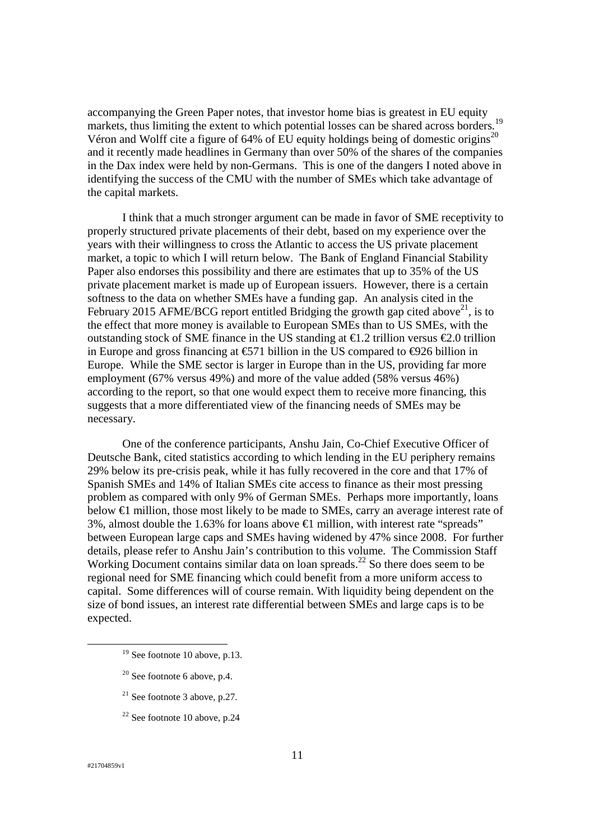accompanying the Green Paper notes, that investor home bias is greatest in EU equity markets, thus limiting the extent to which potential losses can be shared across borders.<sup>19</sup> Véron and Wolff cite a figure of 64% of EU equity holdings being of domestic origins<sup>20</sup> and it recently made headlines in Germany than over 50% of the shares of the companies in the Dax index were held by non-Germans. This is one of the dangers I noted above in identifying the success of the CMU with the number of SMEs which take advantage of the capital markets.

I think that a much stronger argument can be made in favor of SME receptivity to properly structured private placements of their debt, based on my experience over the years with their willingness to cross the Atlantic to access the US private placement market, a topic to which I will return below. The Bank of England Financial Stability Paper also endorses this possibility and there are estimates that up to 35% of the US private placement market is made up of European issuers. However, there is a certain softness to the data on whether SMEs have a funding gap. An analysis cited in the February 2015 AFME/BCG report entitled Bridging the growth gap cited above<sup>21</sup>, is to the effect that more money is available to European SMEs than to US SMEs, with the outstanding stock of SME finance in the US standing at  $\epsilon$ 1.2 trillion versus  $\epsilon$ 2.0 trillion in Europe and gross financing at  $\epsilon$ 571 billion in the US compared to  $\epsilon$ 926 billion in Europe. While the SME sector is larger in Europe than in the US, providing far more employment (67% versus 49%) and more of the value added (58% versus 46%) according to the report, so that one would expect them to receive more financing, this suggests that a more differentiated view of the financing needs of SMEs may be necessary.

One of the conference participants, Anshu Jain, Co-Chief Executive Officer of Deutsche Bank, cited statistics according to which lending in the EU periphery remains 29% below its pre-crisis peak, while it has fully recovered in the core and that 17% of Spanish SMEs and 14% of Italian SMEs cite access to finance as their most pressing problem as compared with only 9% of German SMEs. Perhaps more importantly, loans below  $\epsilon$ 1 million, those most likely to be made to SMEs, carry an average interest rate of 3%, almost double the 1.63% for loans above  $\epsilon$  million, with interest rate "spreads" between European large caps and SMEs having widened by 47% since 2008. For further details, please refer to Anshu Jain's contribution to this volume. The Commission Staff Working Document contains similar data on loan spreads.<sup>22</sup> So there does seem to be regional need for SME financing which could benefit from a more uniform access to capital. Some differences will of course remain. With liquidity being dependent on the size of bond issues, an interest rate differential between SMEs and large caps is to be expected.

- $20$  See footnote 6 above, p.4.
- $21$  See footnote 3 above, p.27.
- $22$  See footnote 10 above, p.24

 $19$  See footnote 10 above, p.13.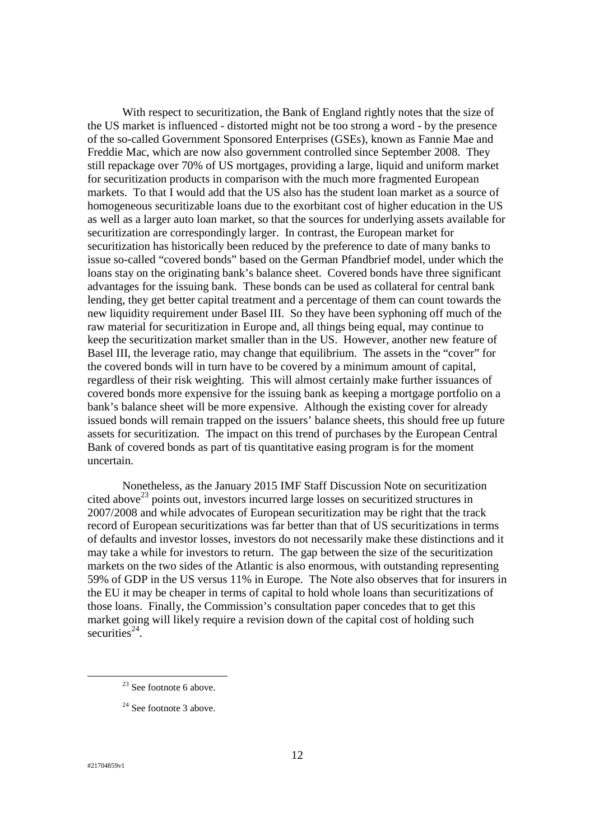With respect to securitization, the Bank of England rightly notes that the size of the US market is influenced - distorted might not be too strong a word - by the presence of the so-called Government Sponsored Enterprises (GSEs), known as Fannie Mae and Freddie Mac, which are now also government controlled since September 2008. They still repackage over 70% of US mortgages, providing a large, liquid and uniform market for securitization products in comparison with the much more fragmented European markets. To that I would add that the US also has the student loan market as a source of homogeneous securitizable loans due to the exorbitant cost of higher education in the US as well as a larger auto loan market, so that the sources for underlying assets available for securitization are correspondingly larger. In contrast, the European market for securitization has historically been reduced by the preference to date of many banks to issue so-called "covered bonds" based on the German Pfandbrief model, under which the loans stay on the originating bank's balance sheet. Covered bonds have three significant advantages for the issuing bank. These bonds can be used as collateral for central bank lending, they get better capital treatment and a percentage of them can count towards the new liquidity requirement under Basel III. So they have been syphoning off much of the raw material for securitization in Europe and, all things being equal, may continue to keep the securitization market smaller than in the US. However, another new feature of Basel III, the leverage ratio, may change that equilibrium. The assets in the "cover" for the covered bonds will in turn have to be covered by a minimum amount of capital, regardless of their risk weighting. This will almost certainly make further issuances of covered bonds more expensive for the issuing bank as keeping a mortgage portfolio on a bank's balance sheet will be more expensive. Although the existing cover for already issued bonds will remain trapped on the issuers' balance sheets, this should free up future assets for securitization. The impact on this trend of purchases by the European Central Bank of covered bonds as part of tis quantitative easing program is for the moment uncertain.

Nonetheless, as the January 2015 IMF Staff Discussion Note on securitization cited above<sup>23</sup> points out, investors incurred large losses on securitized structures in 2007/2008 and while advocates of European securitization may be right that the track record of European securitizations was far better than that of US securitizations in terms of defaults and investor losses, investors do not necessarily make these distinctions and it may take a while for investors to return. The gap between the size of the securitization markets on the two sides of the Atlantic is also enormous, with outstanding representing 59% of GDP in the US versus 11% in Europe. The Note also observes that for insurers in the EU it may be cheaper in terms of capital to hold whole loans than securitizations of those loans. Finally, the Commission's consultation paper concedes that to get this market going will likely require a revision down of the capital cost of holding such securities $24$ .

 $23$  See footnote 6 above.

<sup>&</sup>lt;sup>24</sup> See footnote 3 above.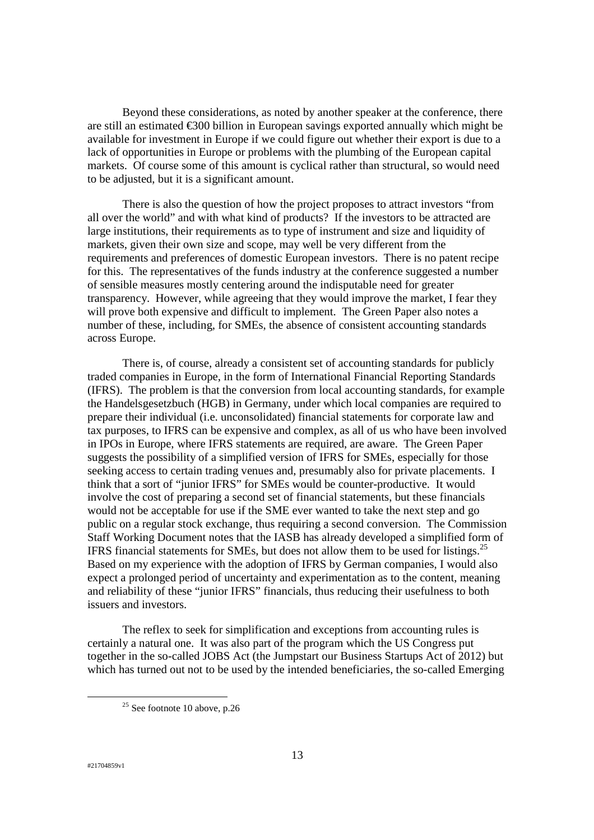Beyond these considerations, as noted by another speaker at the conference, there are still an estimated €300 billion in European savings exported annually which might be available for investment in Europe if we could figure out whether their export is due to a lack of opportunities in Europe or problems with the plumbing of the European capital markets. Of course some of this amount is cyclical rather than structural, so would need to be adjusted, but it is a significant amount.

There is also the question of how the project proposes to attract investors "from all over the world" and with what kind of products? If the investors to be attracted are large institutions, their requirements as to type of instrument and size and liquidity of markets, given their own size and scope, may well be very different from the requirements and preferences of domestic European investors. There is no patent recipe for this. The representatives of the funds industry at the conference suggested a number of sensible measures mostly centering around the indisputable need for greater transparency. However, while agreeing that they would improve the market, I fear they will prove both expensive and difficult to implement. The Green Paper also notes a number of these, including, for SMEs, the absence of consistent accounting standards across Europe.

There is, of course, already a consistent set of accounting standards for publicly traded companies in Europe, in the form of International Financial Reporting Standards (IFRS). The problem is that the conversion from local accounting standards, for example the Handelsgesetzbuch (HGB) in Germany, under which local companies are required to prepare their individual (i.e. unconsolidated) financial statements for corporate law and tax purposes, to IFRS can be expensive and complex, as all of us who have been involved in IPOs in Europe, where IFRS statements are required, are aware. The Green Paper suggests the possibility of a simplified version of IFRS for SMEs, especially for those seeking access to certain trading venues and, presumably also for private placements. I think that a sort of "junior IFRS" for SMEs would be counter-productive. It would involve the cost of preparing a second set of financial statements, but these financials would not be acceptable for use if the SME ever wanted to take the next step and go public on a regular stock exchange, thus requiring a second conversion. The Commission Staff Working Document notes that the IASB has already developed a simplified form of IFRS financial statements for SMEs, but does not allow them to be used for listings.<sup>25</sup> Based on my experience with the adoption of IFRS by German companies, I would also expect a prolonged period of uncertainty and experimentation as to the content, meaning and reliability of these "junior IFRS" financials, thus reducing their usefulness to both issuers and investors.

The reflex to seek for simplification and exceptions from accounting rules is certainly a natural one. It was also part of the program which the US Congress put together in the so-called JOBS Act (the Jumpstart our Business Startups Act of 2012) but which has turned out not to be used by the intended beneficiaries, the so-called Emerging

 $25$  See footnote 10 above, p.26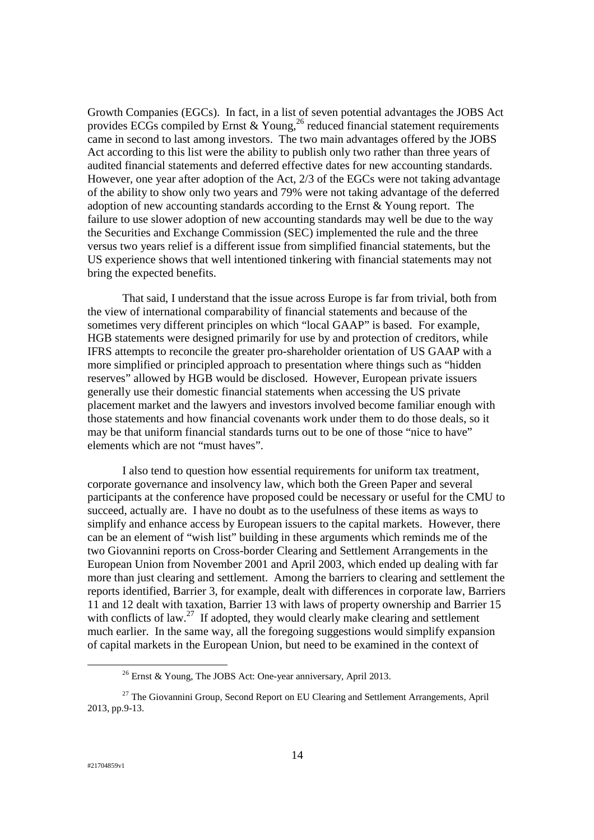Growth Companies (EGCs). In fact, in a list of seven potential advantages the JOBS Act provides ECGs compiled by Ernst & Young,<sup>26</sup> reduced financial statement requirements came in second to last among investors. The two main advantages offered by the JOBS Act according to this list were the ability to publish only two rather than three years of audited financial statements and deferred effective dates for new accounting standards. However, one year after adoption of the Act, 2/3 of the EGCs were not taking advantage of the ability to show only two years and 79% were not taking advantage of the deferred adoption of new accounting standards according to the Ernst & Young report. The failure to use slower adoption of new accounting standards may well be due to the way the Securities and Exchange Commission (SEC) implemented the rule and the three versus two years relief is a different issue from simplified financial statements, but the US experience shows that well intentioned tinkering with financial statements may not bring the expected benefits.

That said, I understand that the issue across Europe is far from trivial, both from the view of international comparability of financial statements and because of the sometimes very different principles on which "local GAAP" is based. For example, HGB statements were designed primarily for use by and protection of creditors, while IFRS attempts to reconcile the greater pro-shareholder orientation of US GAAP with a more simplified or principled approach to presentation where things such as "hidden reserves" allowed by HGB would be disclosed. However, European private issuers generally use their domestic financial statements when accessing the US private placement market and the lawyers and investors involved become familiar enough with those statements and how financial covenants work under them to do those deals, so it may be that uniform financial standards turns out to be one of those "nice to have" elements which are not "must haves".

I also tend to question how essential requirements for uniform tax treatment, corporate governance and insolvency law, which both the Green Paper and several participants at the conference have proposed could be necessary or useful for the CMU to succeed, actually are. I have no doubt as to the usefulness of these items as ways to simplify and enhance access by European issuers to the capital markets. However, there can be an element of "wish list" building in these arguments which reminds me of the two Giovannini reports on Cross-border Clearing and Settlement Arrangements in the European Union from November 2001 and April 2003, which ended up dealing with far more than just clearing and settlement. Among the barriers to clearing and settlement the reports identified, Barrier 3, for example, dealt with differences in corporate law, Barriers 11 and 12 dealt with taxation, Barrier 13 with laws of property ownership and Barrier 15 with conflicts of law.<sup>27</sup> If adopted, they would clearly make clearing and settlement much earlier. In the same way, all the foregoing suggestions would simplify expansion of capital markets in the European Union, but need to be examined in the context of

<sup>&</sup>lt;sup>26</sup> Ernst & Young, The JOBS Act: One-year anniversary, April 2013.

 $27$  The Giovannini Group, Second Report on EU Clearing and Settlement Arrangements, April 2013, pp.9-13.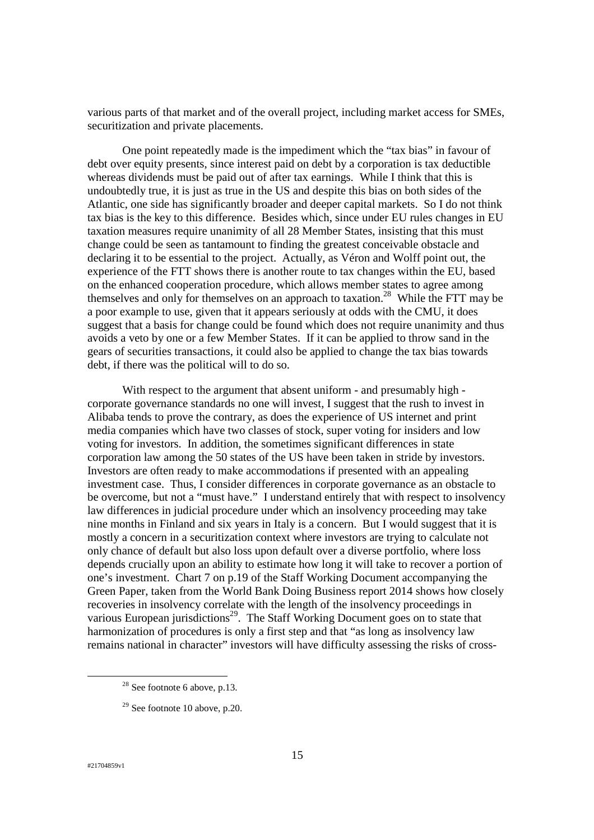various parts of that market and of the overall project, including market access for SMEs, securitization and private placements.

One point repeatedly made is the impediment which the "tax bias" in favour of debt over equity presents, since interest paid on debt by a corporation is tax deductible whereas dividends must be paid out of after tax earnings. While I think that this is undoubtedly true, it is just as true in the US and despite this bias on both sides of the Atlantic, one side has significantly broader and deeper capital markets. So I do not think tax bias is the key to this difference. Besides which, since under EU rules changes in EU taxation measures require unanimity of all 28 Member States, insisting that this must change could be seen as tantamount to finding the greatest conceivable obstacle and declaring it to be essential to the project. Actually, as Véron and Wolff point out, the experience of the FTT shows there is another route to tax changes within the EU, based on the enhanced cooperation procedure, which allows member states to agree among themselves and only for themselves on an approach to taxation.<sup>28</sup> While the FTT may be a poor example to use, given that it appears seriously at odds with the CMU, it does suggest that a basis for change could be found which does not require unanimity and thus avoids a veto by one or a few Member States. If it can be applied to throw sand in the gears of securities transactions, it could also be applied to change the tax bias towards debt, if there was the political will to do so.

With respect to the argument that absent uniform - and presumably high corporate governance standards no one will invest, I suggest that the rush to invest in Alibaba tends to prove the contrary, as does the experience of US internet and print media companies which have two classes of stock, super voting for insiders and low voting for investors. In addition, the sometimes significant differences in state corporation law among the 50 states of the US have been taken in stride by investors. Investors are often ready to make accommodations if presented with an appealing investment case. Thus, I consider differences in corporate governance as an obstacle to be overcome, but not a "must have." I understand entirely that with respect to insolvency law differences in judicial procedure under which an insolvency proceeding may take nine months in Finland and six years in Italy is a concern. But I would suggest that it is mostly a concern in a securitization context where investors are trying to calculate not only chance of default but also loss upon default over a diverse portfolio, where loss depends crucially upon an ability to estimate how long it will take to recover a portion of one's investment. Chart 7 on p.19 of the Staff Working Document accompanying the Green Paper, taken from the World Bank Doing Business report 2014 shows how closely recoveries in insolvency correlate with the length of the insolvency proceedings in various European jurisdictions<sup>29</sup>. The Staff Working Document goes on to state that harmonization of procedures is only a first step and that "as long as insolvency law remains national in character" investors will have difficulty assessing the risks of cross-

 $28$  See footnote 6 above, p.13.

 $29$  See footnote 10 above, p.20.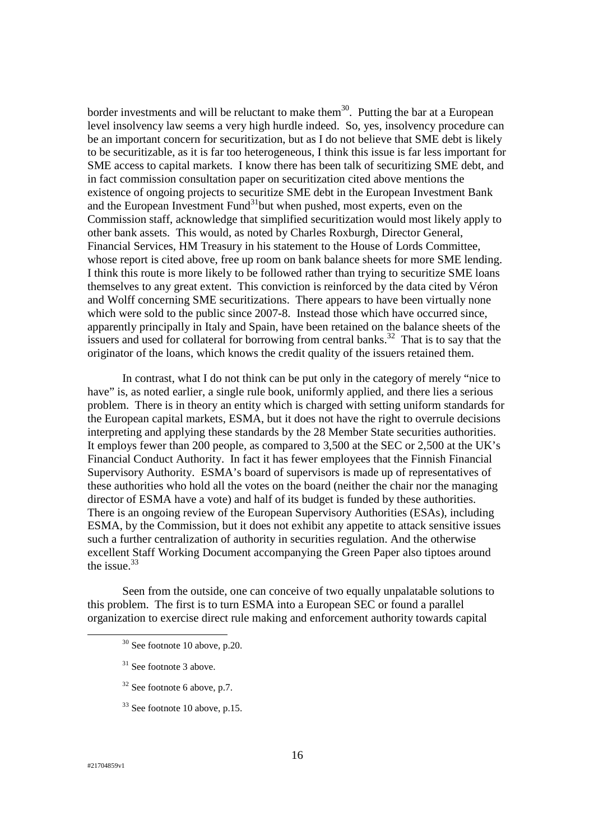border investments and will be reluctant to make them<sup>30</sup>. Putting the bar at a European level insolvency law seems a very high hurdle indeed. So, yes, insolvency procedure can be an important concern for securitization, but as I do not believe that SME debt is likely to be securitizable, as it is far too heterogeneous, I think this issue is far less important for SME access to capital markets. I know there has been talk of securitizing SME debt, and in fact commission consultation paper on securitization cited above mentions the existence of ongoing projects to securitize SME debt in the European Investment Bank and the European Investment Fund $31$ but when pushed, most experts, even on the Commission staff, acknowledge that simplified securitization would most likely apply to other bank assets. This would, as noted by Charles Roxburgh, Director General, Financial Services, HM Treasury in his statement to the House of Lords Committee, whose report is cited above, free up room on bank balance sheets for more SME lending. I think this route is more likely to be followed rather than trying to securitize SME loans themselves to any great extent. This conviction is reinforced by the data cited by Véron and Wolff concerning SME securitizations. There appears to have been virtually none which were sold to the public since 2007-8. Instead those which have occurred since, apparently principally in Italy and Spain, have been retained on the balance sheets of the issuers and used for collateral for borrowing from central banks.<sup>32</sup> That is to say that the originator of the loans, which knows the credit quality of the issuers retained them.

In contrast, what I do not think can be put only in the category of merely "nice to have" is, as noted earlier, a single rule book, uniformly applied, and there lies a serious problem. There is in theory an entity which is charged with setting uniform standards for the European capital markets, ESMA, but it does not have the right to overrule decisions interpreting and applying these standards by the 28 Member State securities authorities. It employs fewer than 200 people, as compared to 3,500 at the SEC or 2,500 at the UK's Financial Conduct Authority. In fact it has fewer employees that the Finnish Financial Supervisory Authority. ESMA's board of supervisors is made up of representatives of these authorities who hold all the votes on the board (neither the chair nor the managing director of ESMA have a vote) and half of its budget is funded by these authorities. There is an ongoing review of the European Supervisory Authorities (ESAs), including ESMA, by the Commission, but it does not exhibit any appetite to attack sensitive issues such a further centralization of authority in securities regulation. And the otherwise excellent Staff Working Document accompanying the Green Paper also tiptoes around the issue. $33$ 

Seen from the outside, one can conceive of two equally unpalatable solutions to this problem. The first is to turn ESMA into a European SEC or found a parallel organization to exercise direct rule making and enforcement authority towards capital

- $32$  See footnote 6 above, p.7.
- <sup>33</sup> See footnote 10 above, p.15.

 $30$  See footnote 10 above, p.20.

 $31$  See footnote 3 above.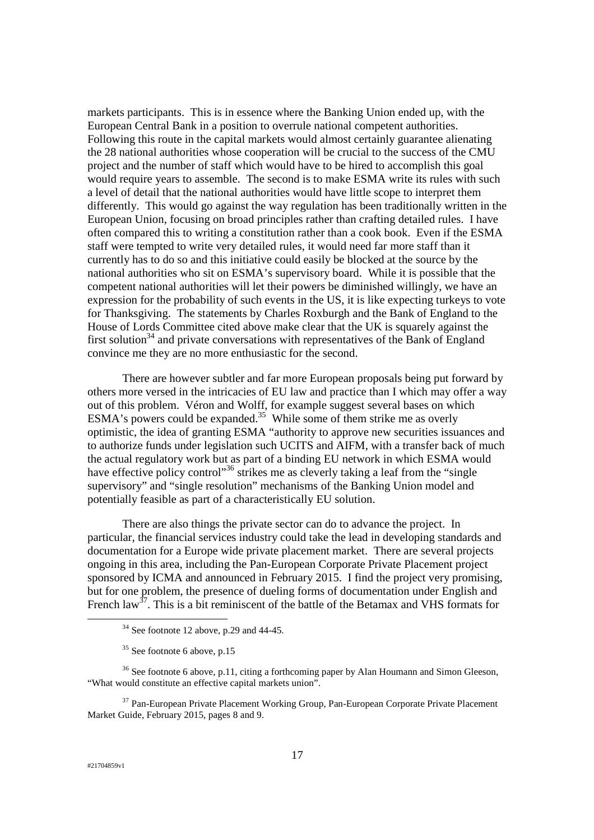markets participants. This is in essence where the Banking Union ended up, with the European Central Bank in a position to overrule national competent authorities. Following this route in the capital markets would almost certainly guarantee alienating the 28 national authorities whose cooperation will be crucial to the success of the CMU project and the number of staff which would have to be hired to accomplish this goal would require years to assemble. The second is to make ESMA write its rules with such a level of detail that the national authorities would have little scope to interpret them differently. This would go against the way regulation has been traditionally written in the European Union, focusing on broad principles rather than crafting detailed rules. I have often compared this to writing a constitution rather than a cook book. Even if the ESMA staff were tempted to write very detailed rules, it would need far more staff than it currently has to do so and this initiative could easily be blocked at the source by the national authorities who sit on ESMA's supervisory board. While it is possible that the competent national authorities will let their powers be diminished willingly, we have an expression for the probability of such events in the US, it is like expecting turkeys to vote for Thanksgiving. The statements by Charles Roxburgh and the Bank of England to the House of Lords Committee cited above make clear that the UK is squarely against the first solution<sup>34</sup> and private conversations with representatives of the Bank of England convince me they are no more enthusiastic for the second.

There are however subtler and far more European proposals being put forward by others more versed in the intricacies of EU law and practice than I which may offer a way out of this problem. Véron and Wolff, for example suggest several bases on which ESMA's powers could be expanded.<sup>35</sup> While some of them strike me as overly optimistic, the idea of granting ESMA "authority to approve new securities issuances and to authorize funds under legislation such UCITS and AIFM, with a transfer back of much the actual regulatory work but as part of a binding EU network in which ESMA would have effective policy control<sup>36</sup> strikes me as cleverly taking a leaf from the "single" supervisory" and "single resolution" mechanisms of the Banking Union model and potentially feasible as part of a characteristically EU solution.

There are also things the private sector can do to advance the project. In particular, the financial services industry could take the lead in developing standards and documentation for a Europe wide private placement market. There are several projects ongoing in this area, including the Pan-European Corporate Private Placement project sponsored by ICMA and announced in February 2015. I find the project very promising, but for one problem, the presence of dueling forms of documentation under English and French law<sup>37</sup>. This is a bit reminiscent of the battle of the Betamax and VHS formats for

<sup>37</sup> Pan-European Private Placement Working Group, Pan-European Corporate Private Placement Market Guide, February 2015, pages 8 and 9.

 $34$  See footnote 12 above, p.29 and 44-45.

 $35$  See footnote 6 above, p.15

<sup>&</sup>lt;sup>36</sup> See footnote 6 above, p.11, citing a forthcoming paper by Alan Houmann and Simon Gleeson, "What would constitute an effective capital markets union".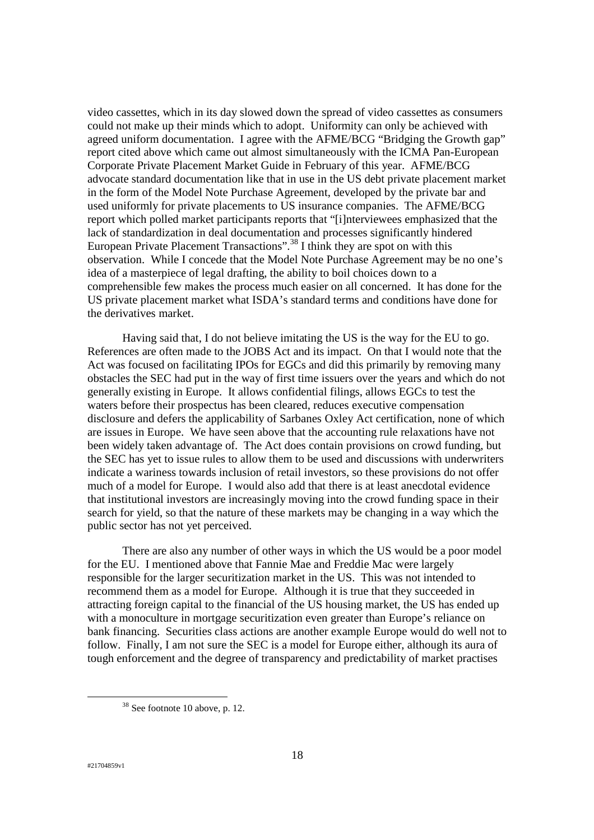video cassettes, which in its day slowed down the spread of video cassettes as consumers could not make up their minds which to adopt. Uniformity can only be achieved with agreed uniform documentation. I agree with the AFME/BCG "Bridging the Growth gap" report cited above which came out almost simultaneously with the ICMA Pan-European Corporate Private Placement Market Guide in February of this year. AFME/BCG advocate standard documentation like that in use in the US debt private placement market in the form of the Model Note Purchase Agreement, developed by the private bar and used uniformly for private placements to US insurance companies. The AFME/BCG report which polled market participants reports that "[i]nterviewees emphasized that the lack of standardization in deal documentation and processes significantly hindered European Private Placement Transactions".<sup>38</sup> I think they are spot on with this observation. While I concede that the Model Note Purchase Agreement may be no one's idea of a masterpiece of legal drafting, the ability to boil choices down to a comprehensible few makes the process much easier on all concerned. It has done for the US private placement market what ISDA's standard terms and conditions have done for the derivatives market.

Having said that, I do not believe imitating the US is the way for the EU to go. References are often made to the JOBS Act and its impact. On that I would note that the Act was focused on facilitating IPOs for EGCs and did this primarily by removing many obstacles the SEC had put in the way of first time issuers over the years and which do not generally existing in Europe. It allows confidential filings, allows EGCs to test the waters before their prospectus has been cleared, reduces executive compensation disclosure and defers the applicability of Sarbanes Oxley Act certification, none of which are issues in Europe. We have seen above that the accounting rule relaxations have not been widely taken advantage of. The Act does contain provisions on crowd funding, but the SEC has yet to issue rules to allow them to be used and discussions with underwriters indicate a wariness towards inclusion of retail investors, so these provisions do not offer much of a model for Europe. I would also add that there is at least anecdotal evidence that institutional investors are increasingly moving into the crowd funding space in their search for yield, so that the nature of these markets may be changing in a way which the public sector has not yet perceived.

There are also any number of other ways in which the US would be a poor model for the EU. I mentioned above that Fannie Mae and Freddie Mac were largely responsible for the larger securitization market in the US. This was not intended to recommend them as a model for Europe. Although it is true that they succeeded in attracting foreign capital to the financial of the US housing market, the US has ended up with a monoculture in mortgage securitization even greater than Europe's reliance on bank financing. Securities class actions are another example Europe would do well not to follow. Finally, I am not sure the SEC is a model for Europe either, although its aura of tough enforcement and the degree of transparency and predictability of market practises

<sup>38</sup> See footnote 10 above, p. 12.